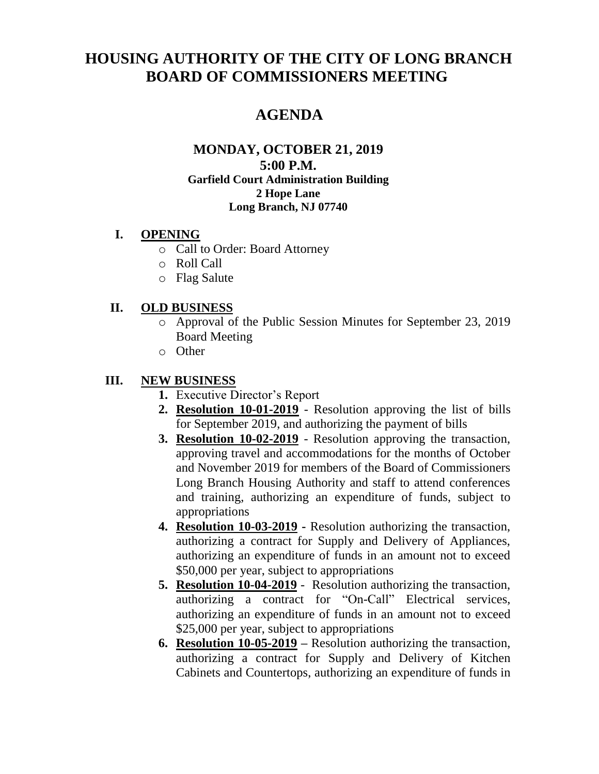# **HOUSING AUTHORITY OF THE CITY OF LONG BRANCH BOARD OF COMMISSIONERS MEETING**

## **AGENDA**

#### **MONDAY, OCTOBER 21, 2019 5:00 P.M. Garfield Court Administration Building 2 Hope Lane Long Branch, NJ 07740**

#### **I. OPENING**

- o Call to Order: Board Attorney
- o Roll Call
- o Flag Salute

#### **II. OLD BUSINESS**

- o Approval of the Public Session Minutes for September 23, 2019 Board Meeting
- o Other

#### **III. NEW BUSINESS**

- **1.** Executive Director's Report
- **2. Resolution 10-01-2019** Resolution approving the list of bills for September 2019, and authorizing the payment of bills
- **3. Resolution 10-02-2019** Resolution approving the transaction, approving travel and accommodations for the months of October and November 2019 for members of the Board of Commissioners Long Branch Housing Authority and staff to attend conferences and training, authorizing an expenditure of funds, subject to appropriations
- **4. Resolution 10-03-2019 -** Resolution authorizing the transaction, authorizing a contract for Supply and Delivery of Appliances, authorizing an expenditure of funds in an amount not to exceed \$50,000 per year, subject to appropriations
- **5. Resolution 10-04-2019** Resolution authorizing the transaction, authorizing a contract for "On-Call" Electrical services, authorizing an expenditure of funds in an amount not to exceed \$25,000 per year, subject to appropriations
- **6. Resolution 10-05-2019 –** Resolution authorizing the transaction, authorizing a contract for Supply and Delivery of Kitchen Cabinets and Countertops, authorizing an expenditure of funds in